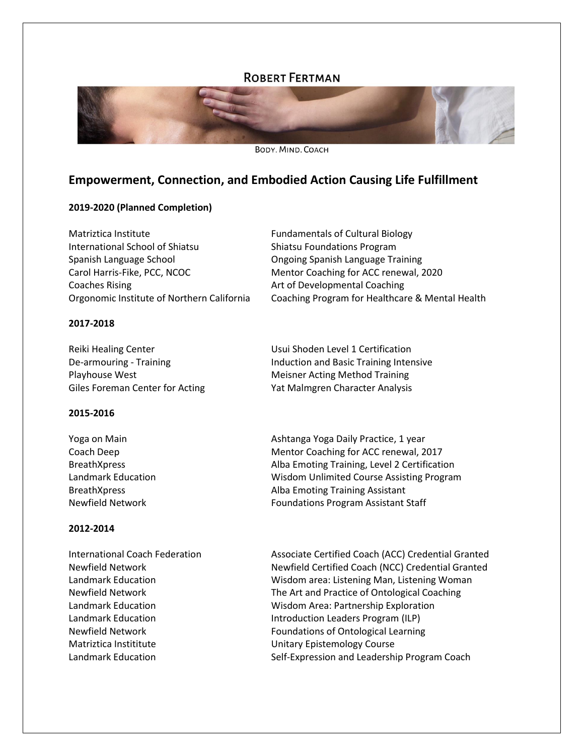# **ROBERT FERTMAN**



BODY, MIND, COACH

# **Empowerment, Connection, and Embodied Action Causing Life Fulfillment**

# **2019-2020 (Planned Completion)**

Matriztica Institute **Fundamentals of Cultural Biology** International School of Shiatsu **Shiatsu Shiatsu Foundations Program** Spanish Language School Ongoing Spanish Language Training Carol Harris-Fike, PCC, NCOC Mentor Coaching for ACC renewal, 2020 Coaches Rising **Art of Developmental Coaching** Orgonomic Institute of Northern California Coaching Program for Healthcare & Mental Health

# **2017-2018**

Reiki Healing Center **Network** Usui Shoden Level 1 Certification De-armouring - Training **Induction and Basic Training Intensive** Playhouse West Meisner Acting Method Training Giles Foreman Center for Acting Yat Malmgren Character Analysis

# **2015-2016**

| Ashtanga Yoga Daily Practice, 1 year         |
|----------------------------------------------|
| Mentor Coaching for ACC renewal, 2017        |
| Alba Emoting Training, Level 2 Certification |
| Wisdom Unlimited Course Assisting Program    |
| Alba Emoting Training Assistant              |
| <b>Foundations Program Assistant Staff</b>   |
|                                              |

# **2012-2014**

Matriztica Instititute **Matriztica Institute** Unitary Epistemology Course

International Coach Federation **Associate Certified Coach (ACC) Credential Granted** Newfield Network Newfield Certified Coach (NCC) Credential Granted Landmark Education Wisdom area: Listening Man, Listening Woman Newfield Network The Art and Practice of Ontological Coaching Landmark Education Wisdom Area: Partnership Exploration Landmark Education **Introduction Leaders Program (ILP)** Newfield Network Foundations of Ontological Learning Landmark Education Self-Expression and Leadership Program Coach